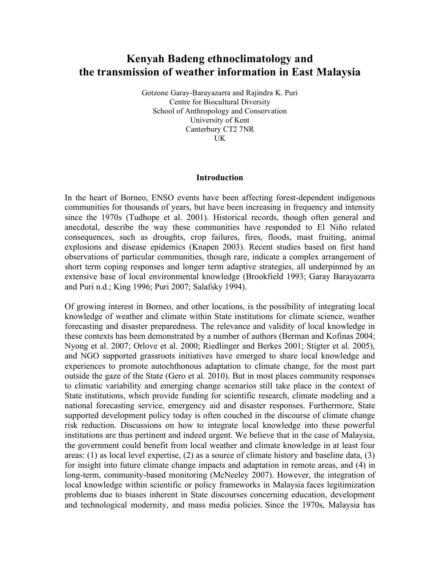## **Kenyah Badeng ethnoclimatology and the transmission of weather information in East Malaysia**

Gotzone Garay-Barayazarra and Rajindra K. Puri Centre for Biocultural Diversity School of Anthropology and Conservation University of Kent Canterbury CT2 7NR UK

## **Introduction**

In the heart of Borneo, ENSO events have been affecting forest-dependent indigenous communities for thousands of years, but have been increasing in frequency and intensity since the 1970s (Tudhope et al. 2001). Historical records, though often general and anecdotal, describe the way these communities have responded to El Niño related consequences, such as droughts, crop failures, fires, floods, mast fruiting, animal explosions and disease epidemics (Knapen 2003). Recent studies based on first hand observations of particular communities, though rare, indicate a complex arrangement of short term coping responses and longer term adaptive strategies, all underpinned by an extensive base of local environmental knowledge (Brookfield 1993; Garay Barayazarra and Puri n.d.; King 1996; Puri 2007; Salafsky 1994).

Of growing interest in Borneo, and other locations, is the possibility of integrating local knowledge of weather and climate within State institutions for climate science, weather forecasting and disaster preparedness. The relevance and validity of local knowledge in these contexts has been demonstrated by a number of authors (Berman and Kofinas 2004; Nyong et al. 2007; Orlove et al. 2000; Riedlinger and Berkes 2001; Stigter et al. 2005), and NGO supported grassroots initiatives have emerged to share local knowledge and experiences to promote autochthonous adaptation to climate change, for the most part outside the gaze of the State (Gero et al. 2010). But in most places community responses to climatic variability and emerging change scenarios still take place in the context of State institutions, which provide funding for scientific research, climate modeling and a national forecasting service, emergency aid and disaster responses. Furthermore, State supported development policy today is often couched in the discourse of climate change risk reduction. Discussions on how to integrate local knowledge into these powerful institutions are thus pertinent and indeed urgent. We believe that in the case of Malaysia, the government could benefit from local weather and climate knowledge in at least four areas: (1) as local level expertise, (2) as a source of climate history and baseline data, (3) for insight into future climate change impacts and adaptation in remote areas, and (4) in long-term, community-based monitoring (McNeeley 2007). However, the integration of local knowledge within scientific or policy frameworks in Malaysia faces legitimization problems due to biases inherent in State discourses concerning education, development and technological modernity, and mass media policies. Since the 1970s, Malaysia has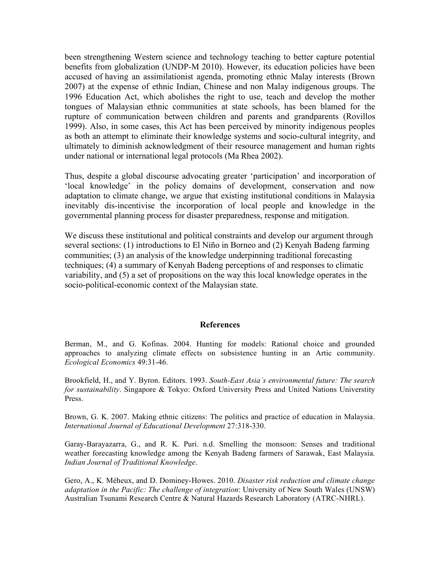been strengthening Western science and technology teaching to better capture potential benefits from globalization (UNDP-M 2010). However, its education policies have been accused of having an assimilationist agenda, promoting ethnic Malay interests (Brown 2007) at the expense of ethnic Indian, Chinese and non Malay indigenous groups. The 1996 Education Act, which abolishes the right to use, teach and develop the mother tongues of Malaysian ethnic communities at state schools, has been blamed for the rupture of communication between children and parents and grandparents (Rovillos 1999). Also, in some cases, this Act has been perceived by minority indigenous peoples as both an attempt to eliminate their knowledge systems and socio-cultural integrity, and ultimately to diminish acknowledgment of their resource management and human rights under national or international legal protocols (Ma Rhea 2002).

Thus, despite a global discourse advocating greater 'participation' and incorporation of 'local knowledge' in the policy domains of development, conservation and now adaptation to climate change, we argue that existing institutional conditions in Malaysia inevitably dis-incentivise the incorporation of local people and knowledge in the governmental planning process for disaster preparedness, response and mitigation.

We discuss these institutional and political constraints and develop our argument through several sections: (1) introductions to El Niño in Borneo and (2) Kenyah Badeng farming communities; (3) an analysis of the knowledge underpinning traditional forecasting techniques; (4) a summary of Kenyah Badeng perceptions of and responses to climatic variability, and (5) a set of propositions on the way this local knowledge operates in the socio-political-economic context of the Malaysian state.

## **References**

Berman, M., and G. Kofinas. 2004. Hunting for models: Rational choice and grounded approaches to analyzing climate effects on subsistence hunting in an Artic community. *Ecological Economics* 49:31-46.

Brookfield, H., and Y. Byron. Editors. 1993. *South-East Asia´s environmental future: The search for sustainability*. Singapore & Tokyo: Oxford University Press and United Nations Universtity Press.

Brown, G. K. 2007. Making ethnic citizens: The politics and practice of education in Malaysia. *International Journal of Educational Development* 27:318-330.

Garay-Barayazarra, G., and R. K. Puri. n.d. Smelling the monsoon: Senses and traditional weather forecasting knowledge among the Kenyah Badeng farmers of Sarawak, East Malaysia. *Indian Journal of Traditional Knowledge*.

Gero, A., K. Méheux, and D. Dominey-Howes. 2010. *Disaster risk reduction and climate change adaptation in the Pacific: The challenge of integration*: University of New South Wales (UNSW) Australian Tsunami Research Centre & Natural Hazards Research Laboratory (ATRC-NHRL).